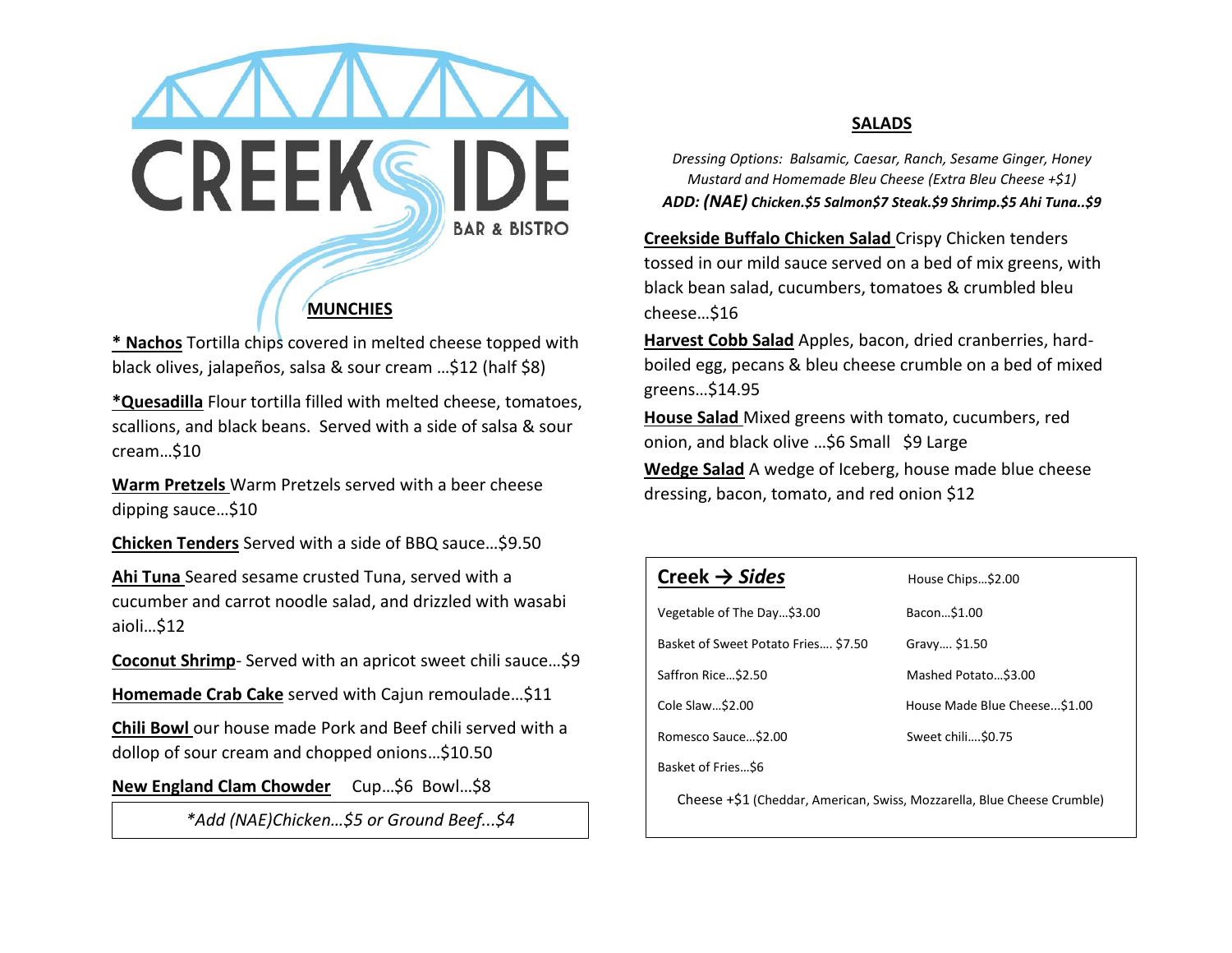

**\* Nachos** Tortilla chips covered in melted cheese topped with black olives, jalapeños, salsa & sour cream …\$12 (half \$8)

**\*Quesadilla** Flour tortilla filled with melted cheese, tomatoes, scallions, and black beans. Served with a side of salsa & sour cream…\$10

**Warm Pretzels** Warm Pretzels served with a beer cheese dipping sauce…\$10

**Chicken Tenders** Served with a side of BBQ sauce…\$9.50

**Ahi Tuna** Seared sesame crusted Tuna, served with a cucumber and carrot noodle salad, and drizzled with wasabi aioli…\$12

**Coconut Shrimp**- Served with an apricot sweet chili sauce…\$9

**Homemade Crab Cake** served with Cajun remoulade…\$11

**Chili Bowl** our house made Pork and Beef chili served with a dollop of sour cream and chopped onions…\$10.50

**New England Clam Chowder** Cup…\$6 Bowl…\$8

*\*Add (NAE)Chicken…\$5 or Ground Beef...\$4*

## **SALADS**

*Dressing Options: Balsamic, Caesar, Ranch, Sesame Ginger, Honey Mustard and Homemade Bleu Cheese (Extra Bleu Cheese +\$1) ADD: (NAE) Chicken.\$5 Salmon\$7 Steak.\$9 Shrimp.\$5 Ahi Tuna..\$9*

**Creekside Buffalo Chicken Salad** Crispy Chicken tenders tossed in our mild sauce served on a bed of mix greens, with black bean salad, cucumbers, tomatoes & crumbled bleu cheese…\$16

**Harvest Cobb Salad** Apples, bacon, dried cranberries, hardboiled egg, pecans & bleu cheese crumble on a bed of mixed greens…\$14.95

**House Salad** Mixed greens with tomato, cucumbers, red onion, and black olive …\$6 Small \$9 Large

**Wedge Salad** A wedge of Iceberg, house made blue cheese dressing, bacon, tomato, and red onion \$12

| Creek $\rightarrow$ Sides                                               | House Chips\$2.00            |
|-------------------------------------------------------------------------|------------------------------|
| Vegetable of The Day\$3.00                                              | Bacon \$1.00                 |
| Basket of Sweet Potato Fries \$7.50                                     | Gravy \$1.50                 |
| Saffron Rice\$2.50                                                      | Mashed Potato \$3.00         |
| Cole Slaw\$2.00                                                         | House Made Blue Cheese\$1.00 |
| Romesco Sauce \$2.00                                                    | Sweet chili\$0.75            |
| Basket of Fries\$6                                                      |                              |
| Cheese +\$1 (Cheddar, American, Swiss, Mozzarella, Blue Cheese Crumble) |                              |